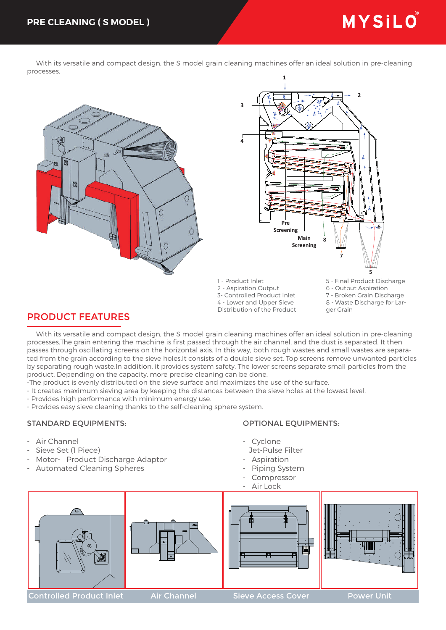# MYSILO

 With its versatile and compact design, the S model grain cleaning machines offer an ideal solution in pre-cleaning processes.





1 - Product Inlet 2 - Aspiration Output 3- Controlled Product Inlet 4 - Lower and Upper Sieve

Distribution of the Product

5 - Final Product Discharge

- 6 Output Aspiration
- 7 Broken Grain Discharge 8 - Waste Discharge for Lar-
- ger Grain

# PRODUCT FEATURES

 With its versatile and compact design, the S model grain cleaning machines offer an ideal solution in pre-cleaning processes.The grain entering the machine is first passed through the air channel, and the dust is separated. It then passes through oscillating screens on the horizontal axis. In this way, both rough wastes and small wastes are separated from the grain according to the sieve holes.It consists of a double sieve set. Top screens remove unwanted particles by separating rough waste.In addition, it provides system safety. The lower screens separate small particles from the product. Depending on the capacity, more precise cleaning can be done.

- -The product is evenly distributed on the sieve surface and maximizes the use of the surface.
- It creates maximum sieving area by keeping the distances between the sieve holes at the lowest level.
- Provides high performance with minimum energy use.
- Provides easy sieve cleaning thanks to the self-cleaning sphere system.

## STANDARD EQUIPMENTS:

## OPTIONAL EQUIPMENTS:

- Air Channel
- Sieve Set (1 Piece)
- Motor- Product Discharge Adaptor
- Automated Cleaning Spheres
- Cyclone
	- Jet-Pulse Filter
- Aspiration
- Piping System
- Compressor
- Air Lock